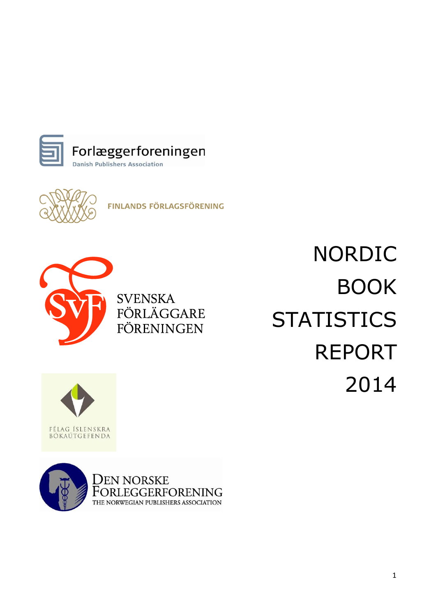



**FINLANDS FÖRLAGSFÖRENING** 



**SVENSKA** FÖRLÄGGARE FÖRENINGEN

NORDIC BOOK **STATISTICS** REPORT 2014



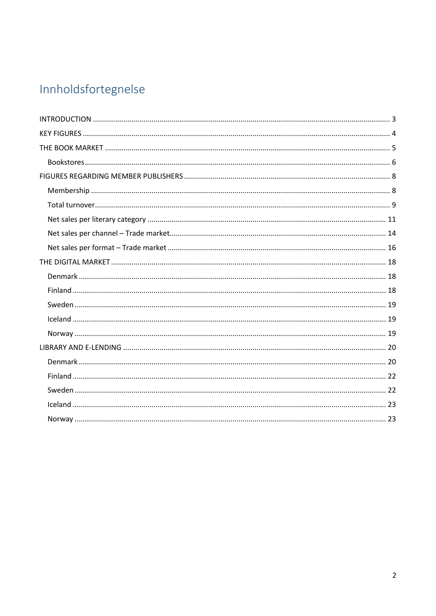# Innholdsfortegnelse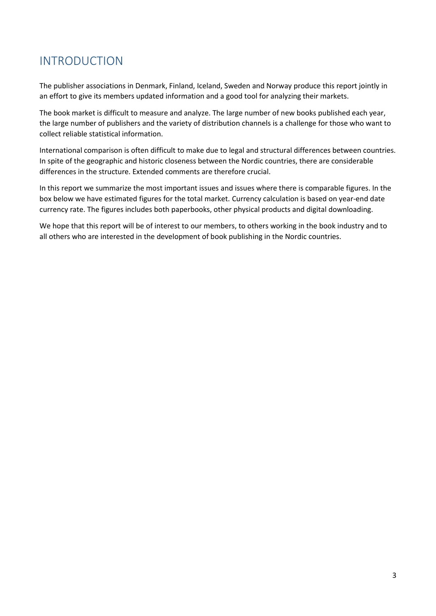# <span id="page-2-0"></span>INTRODUCTION

The publisher associations in Denmark, Finland, Iceland, Sweden and Norway produce this report jointly in an effort to give its members updated information and a good tool for analyzing their markets.

The book market is difficult to measure and analyze. The large number of new books published each year, the large number of publishers and the variety of distribution channels is a challenge for those who want to collect reliable statistical information.

International comparison is often difficult to make due to legal and structural differences between countries. In spite of the geographic and historic closeness between the Nordic countries, there are considerable differences in the structure. Extended comments are therefore crucial.

In this report we summarize the most important issues and issues where there is comparable figures. In the box below we have estimated figures for the total market. Currency calculation is based on year-end date currency rate. The figures includes both paperbooks, other physical products and digital downloading.

We hope that this report will be of interest to our members, to others working in the book industry and to all others who are interested in the development of book publishing in the Nordic countries.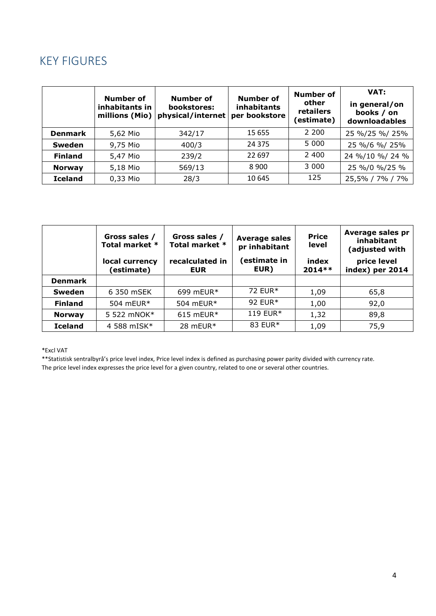# <span id="page-3-0"></span>KEY FIGURES

|                | Number of<br>inhabitants in<br>millions (Mio) | Number of<br>bookstores:<br>physical/internet | <b>Number of</b><br><b>inhabitants</b><br>per bookstore | Number of<br>other<br>retailers<br>(estimate) | VAT:<br>in general/on<br>books / on<br>downloadables |
|----------------|-----------------------------------------------|-----------------------------------------------|---------------------------------------------------------|-----------------------------------------------|------------------------------------------------------|
| <b>Denmark</b> | 5,62 Mio                                      | 342/17                                        | 15 655                                                  | 2 200                                         | 25 %/25 %/ 25%                                       |
| <b>Sweden</b>  | 9,75 Mio                                      | 400/3                                         | 24 3 7 5                                                | 5 0 0 0                                       | 25 %/6 %/ 25%                                        |
| <b>Finland</b> | 5,47 Mio                                      | 239/2                                         | 22 697                                                  | 2 400                                         | 24 %/10 %/ 24 %                                      |
| <b>Norway</b>  | 5,18 Mio                                      | 569/13                                        | 8 9 0 0                                                 | 3 000                                         | 25 %/0 %/25 %                                        |
| <b>Iceland</b> | 0,33 Mio                                      | 28/3                                          | 10 645                                                  | 125                                           | 25,5% / 7% / 7%                                      |

|                | Gross sales /<br>Total market *<br>local currency<br>(estimate) | Gross sales /<br>Total market *<br>recalculated in<br><b>EUR</b> | <b>Average sales</b><br>pr inhabitant<br>(estimate in<br>EUR) | <b>Price</b><br>level<br>index<br>$2014**$ | Average sales pr<br>inhabitant<br>(adjusted with<br>price level<br>index) per 2014 |
|----------------|-----------------------------------------------------------------|------------------------------------------------------------------|---------------------------------------------------------------|--------------------------------------------|------------------------------------------------------------------------------------|
| <b>Denmark</b> |                                                                 |                                                                  |                                                               |                                            |                                                                                    |
| <b>Sweden</b>  | 6 350 mSEK                                                      | 699 mEUR $*$                                                     | 72 EUR*                                                       | 1,09                                       | 65,8                                                                               |
| <b>Finland</b> | 504 mEUR $*$                                                    | 504 mEUR*                                                        | 92 EUR*                                                       | 1,00                                       | 92,0                                                                               |
| <b>Norway</b>  | 5 522 mNOK*                                                     | $615$ mEUR*                                                      | 119 EUR*                                                      | 1,32                                       | 89,8                                                                               |
| <b>Iceland</b> | 4 588 mISK*                                                     | 28 mEUR*                                                         | 83 EUR*                                                       | 1,09                                       | 75,9                                                                               |

#### \*Excl VAT

\*\*Statistisk sentralbyrå's price level index, Price level index is defined as purchasing power parity divided with currency rate. The price level index expresses the price level for a given country, related to one or several other countries.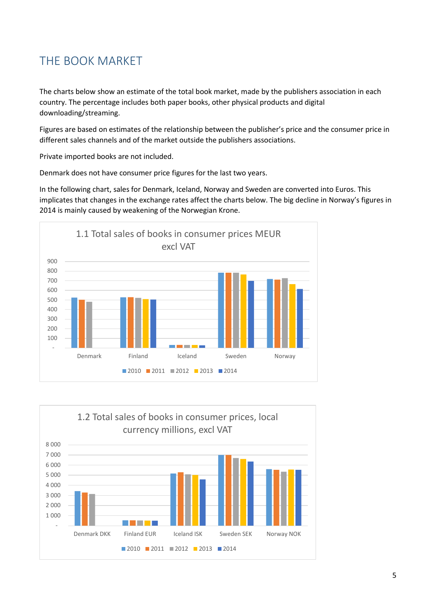# <span id="page-4-0"></span>THE BOOK MARKET

The charts below show an estimate of the total book market, made by the publishers association in each country. The percentage includes both paper books, other physical products and digital downloading/streaming.

Figures are based on estimates of the relationship between the publisher's price and the consumer price in different sales channels and of the market outside the publishers associations.

Private imported books are not included.

Denmark does not have consumer price figures for the last two years.

In the following chart, sales for Denmark, Iceland, Norway and Sweden are converted into Euros. This implicates that changes in the exchange rates affect the charts below. The big decline in Norway's figures in 2014 is mainly caused by weakening of the Norwegian Krone.



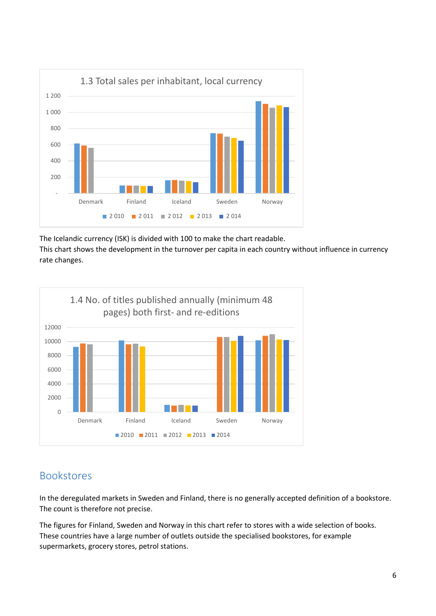

The Icelandic currency (ISK) is divided with 100 to make the chart readable.

This chart shows the development in the turnover per capita in each country without influence in currency rate changes.



# <span id="page-5-0"></span>Bookstores

In the deregulated markets in Sweden and Finland, there is no generally accepted definition of a bookstore. The count is therefore not precise.

The figures for Finland, Sweden and Norway in this chart refer to stores with a wide selection of books. These countries have a large number of outlets outside the specialised bookstores, for example supermarkets, grocery stores, petrol stations.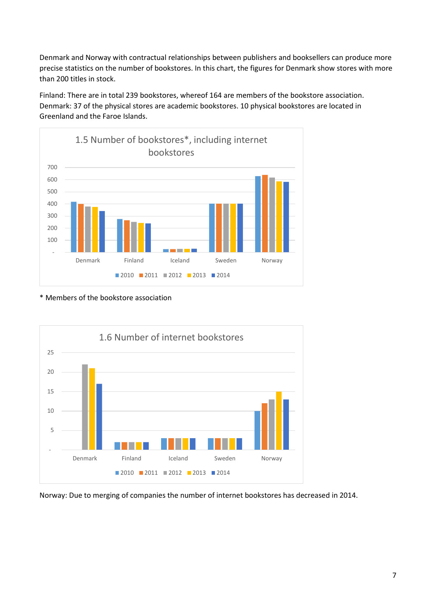Denmark and Norway with contractual relationships between publishers and booksellers can produce more precise statistics on the number of bookstores. In this chart, the figures for Denmark show stores with more than 200 titles in stock.

Finland: There are in total 239 bookstores, whereof 164 are members of the bookstore association. Denmark: 37 of the physical stores are academic bookstores. 10 physical bookstores are located in Greenland and the Faroe Islands.



\* Members of the bookstore association



Norway: Due to merging of companies the number of internet bookstores has decreased in 2014.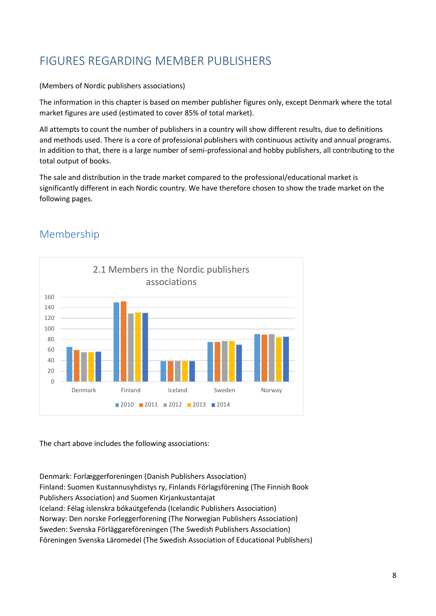# <span id="page-7-0"></span>FIGURES REGARDING MEMBER PUBLISHERS

#### (Members of Nordic publishers associations)

The information in this chapter is based on member publisher figures only, except Denmark where the total market figures are used (estimated to cover 85% of total market).

All attempts to count the number of publishers in a country will show different results, due to definitions and methods used. There is a core of professional publishers with continuous activity and annual programs. In addition to that, there is a large number of semi-professional and hobby publishers, all contributing to the total output of books.

The sale and distribution in the trade market compared to the professional/educational market is significantly different in each Nordic country. We have therefore chosen to show the trade market on the following pages.



## <span id="page-7-1"></span>Membership

The chart above includes the following associations:

Denmark: Forlæggerforeningen (Danish Publishers Association) Finland: Suomen Kustannusyhdistys ry, Finlands Förlagsförening (The Finnish Book Publishers Association) and Suomen Kirjankustantajat Iceland: Félag íslenskra bókaútgefenda (Icelandic Publishers Association) Norway: Den norske Forleggerforening (The Norwegian Publishers Association) Sweden: Svenska Förläggareföreningen (The Swedish Publishers Association) Föreningen Svenska Läromedel (The Swedish Association of Educational Publishers)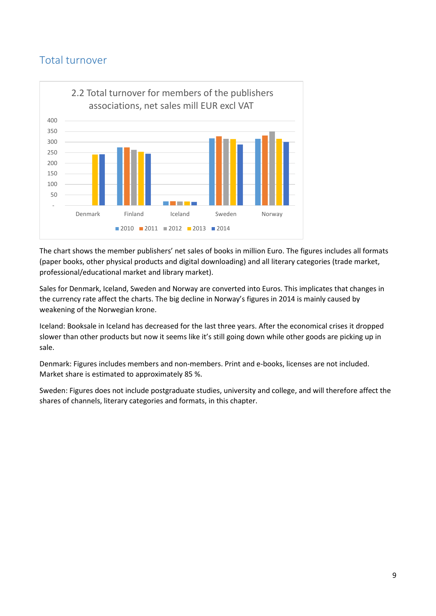### <span id="page-8-0"></span>Total turnover



The chart shows the member publishers' net sales of books in million Euro. The figures includes all formats (paper books, other physical products and digital downloading) and all literary categories (trade market, professional/educational market and library market).

Sales for Denmark, Iceland, Sweden and Norway are converted into Euros. This implicates that changes in the currency rate affect the charts. The big decline in Norway's figures in 2014 is mainly caused by weakening of the Norwegian krone.

Iceland: Booksale in Iceland has decreased for the last three years. After the economical crises it dropped slower than other products but now it seems like it's still going down while other goods are picking up in sale.

Denmark: Figures includes members and non-members. Print and e-books, licenses are not included. Market share is estimated to approximately 85 %.

Sweden: Figures does not include postgraduate studies, university and college, and will therefore affect the shares of channels, literary categories and formats, in this chapter.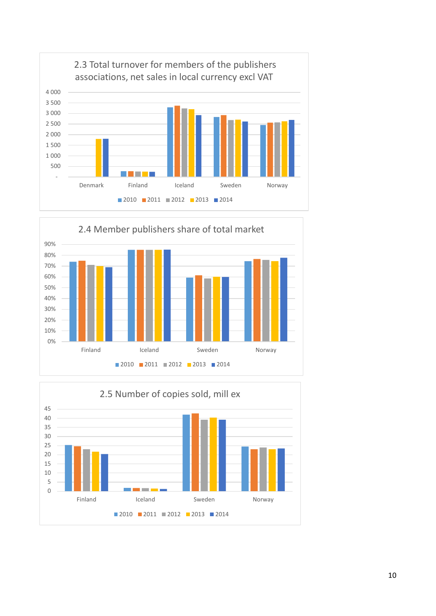



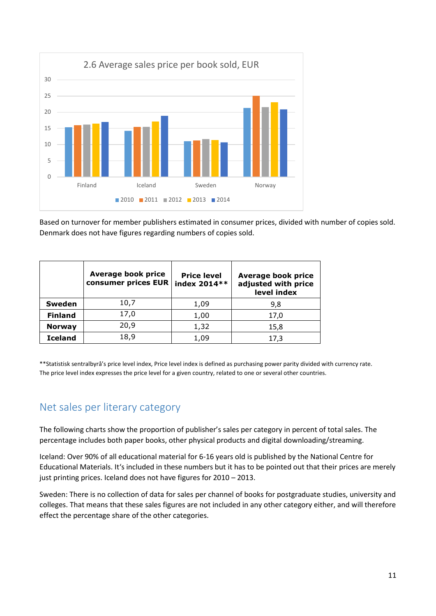

Based on turnover for member publishers estimated in consumer prices, divided with number of copies sold. Denmark does not have figures regarding numbers of copies sold.

|                | <b>Average book price</b><br>consumer prices EUR | <b>Price level</b><br>index 2014** | Average book price<br>adjusted with price<br>level index |
|----------------|--------------------------------------------------|------------------------------------|----------------------------------------------------------|
| <b>Sweden</b>  | 10,7                                             | 1,09                               | 9,8                                                      |
| <b>Finland</b> | 17,0                                             | 1,00                               | 17,0                                                     |
| <b>Norway</b>  | 20,9                                             | 1,32                               | 15,8                                                     |
| <b>Iceland</b> | 18,9                                             | 1.09                               | 17,3                                                     |

\*\*Statistisk sentralbyrå's price level index, Price level index is defined as purchasing power parity divided with currency rate. The price level index expresses the price level for a given country, related to one or several other countries.

### <span id="page-10-0"></span>Net sales per literary category

The following charts show the proportion of publisher's sales per category in percent of total sales. The percentage includes both paper books, other physical products and digital downloading/streaming.

Iceland: Over 90% of all educational material for 6-16 years old is published by the National Centre for Educational Materials. It's included in these numbers but it has to be pointed out that their prices are merely just printing prices. Iceland does not have figures for 2010 – 2013.

Sweden: There is no collection of data for sales per channel of books for postgraduate studies, university and colleges. That means that these sales figures are not included in any other category either, and will therefore effect the percentage share of the other categories.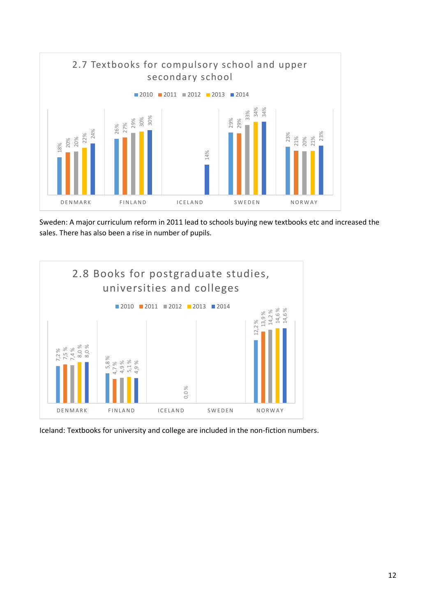

Sweden: A major curriculum reform in 2011 lead to schools buying new textbooks etc and increased the sales. There has also been a rise in number of pupils.

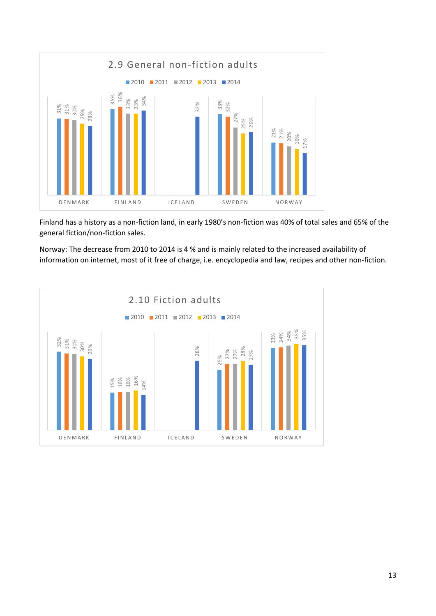

Finland has a history as a non-fiction land, in early 1980's non-fiction was 40% of total sales and 65% of the general fiction/non-fiction sales.

Norway: The decrease from 2010 to 2014 is 4 % and is mainly related to the increased availability of

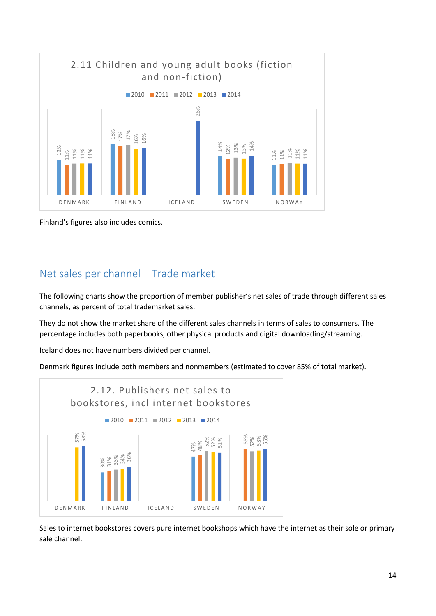

Finland's figures also includes comics.

### <span id="page-13-0"></span>Net sales per channel – Trade market

The following charts show the proportion of member publisher's net sales of trade through different sales channels, as percent of total trademarket sales.

They do not show the market share of the different sales channels in terms of sales to consumers. The percentage includes both paperbooks, other physical products and digital downloading/streaming.

Iceland does not have numbers divided per channel.

Denmark figures include both members and nonmembers (estimated to cover 85% of total market).



Sales to internet bookstores covers pure internet bookshops which have the internet as their sole or primary sale channel.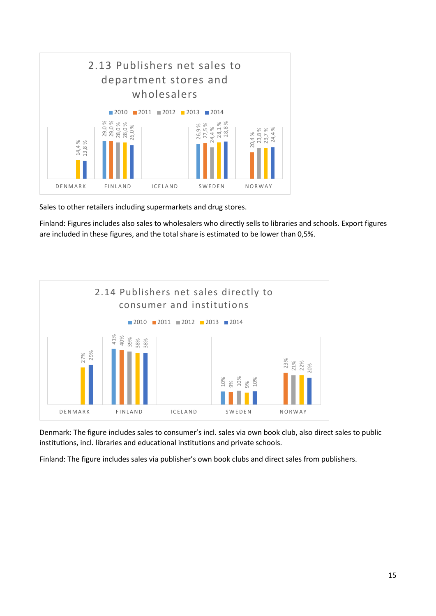

Sales to other retailers including supermarkets and drug stores.

Finland: Figures includes also sales to wholesalers who directly sells to libraries and schools. Export figures are included in these figures, and the total share is estimated to be lower than 0,5%.



Denmark: The figure includes sales to consumer's incl. sales via own book club, also direct sales to public institutions, incl. libraries and educational institutions and private schools.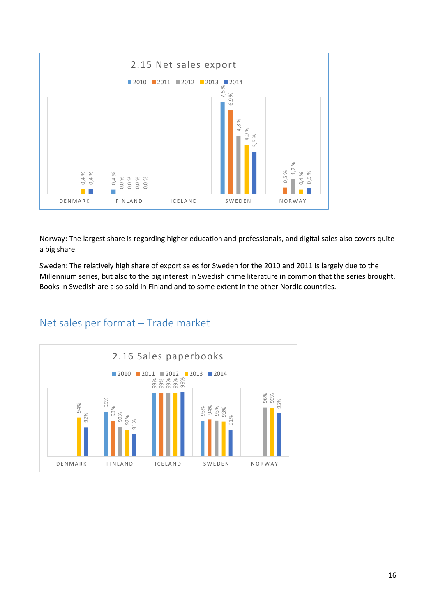

Norway: The largest share is regarding higher education and professionals, and digital sales also covers quite a big share.

Sweden: The relatively high share of export sales for Sweden for the 2010 and 2011 is largely due to the Millennium series, but also to the big interest in Swedish crime literature in common that the series brought. Books in Swedish are also sold in Finland and to some extent in the other Nordic countries.

<span id="page-15-0"></span>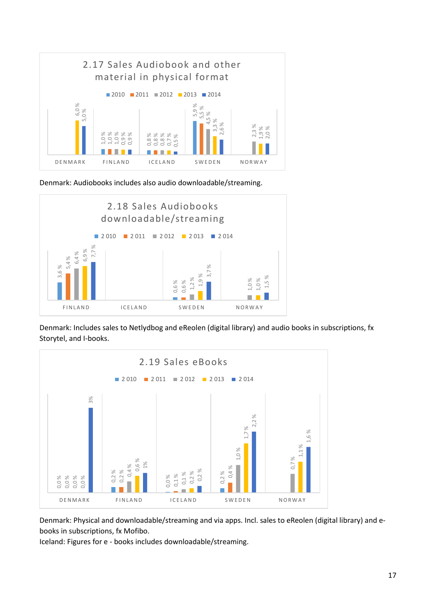

Denmark: Audiobooks includes also audio downloadable/streaming.



Denmark: Includes sales to Netlydbog and eReolen (digital library) and audio books in subscriptions, fx Storytel, and I-books.



Denmark: Physical and downloadable/streaming and via apps. Incl. sales to eReolen (digital library) and ebooks in subscriptions, fx Mofibo.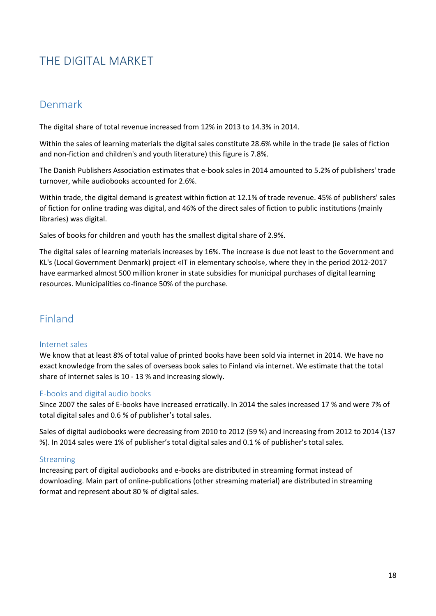# <span id="page-17-0"></span>THE DIGITAL MARKET

### <span id="page-17-1"></span>Denmark

The digital share of total revenue increased from 12% in 2013 to 14.3% in 2014.

Within the sales of learning materials the digital sales constitute 28.6% while in the trade (ie sales of fiction and non-fiction and children's and youth literature) this figure is 7.8%.

The Danish Publishers Association estimates that e-book sales in 2014 amounted to 5.2% of publishers' trade turnover, while audiobooks accounted for 2.6%.

Within trade, the digital demand is greatest within fiction at 12.1% of trade revenue. 45% of publishers' sales of fiction for online trading was digital, and 46% of the direct sales of fiction to public institutions (mainly libraries) was digital.

Sales of books for children and youth has the smallest digital share of 2.9%.

The digital sales of learning materials increases by 16%. The increase is due not least to the Government and KL's (Local Government Denmark) project «IT in elementary schools», where they in the period 2012-2017 have earmarked almost 500 million kroner in state subsidies for municipal purchases of digital learning resources. Municipalities co-finance 50% of the purchase.

### <span id="page-17-2"></span>Finland

#### Internet sales

We know that at least 8% of total value of printed books have been sold via internet in 2014. We have no exact knowledge from the sales of overseas book sales to Finland via internet. We estimate that the total share of internet sales is 10 - 13 % and increasing slowly.

#### E-books and digital audio books

Since 2007 the sales of E-books have increased erratically. In 2014 the sales increased 17 % and were 7% of total digital sales and 0.6 % of publisher's total sales.

Sales of digital audiobooks were decreasing from 2010 to 2012 (59 %) and increasing from 2012 to 2014 (137 %). In 2014 sales were 1% of publisher's total digital sales and 0.1 % of publisher's total sales.

### Streaming

Increasing part of digital audiobooks and e-books are distributed in streaming format instead of downloading. Main part of online-publications (other streaming material) are distributed in streaming format and represent about 80 % of digital sales.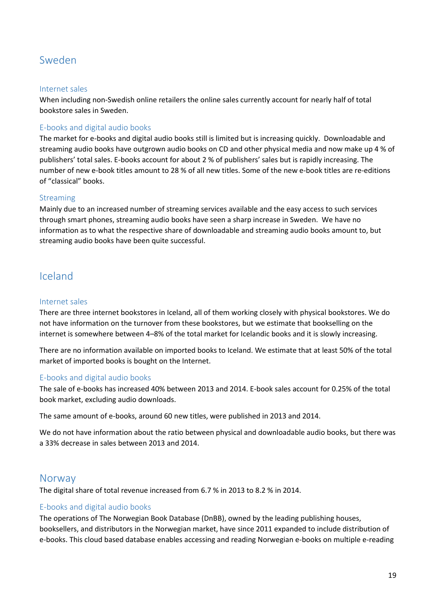### <span id="page-18-0"></span>Sweden

#### Internet sales

When including non-Swedish online retailers the online sales currently account for nearly half of total bookstore sales in Sweden.

#### E-books and digital audio books

The market for e-books and digital audio books still is limited but is increasing quickly. Downloadable and streaming audio books have outgrown audio books on CD and other physical media and now make up 4 % of publishers' total sales. E-books account for about 2 % of publishers' sales but is rapidly increasing. The number of new e-book titles amount to 28 % of all new titles. Some of the new e-book titles are re-editions of "classical" books.

#### Streaming

Mainly due to an increased number of streaming services available and the easy access to such services through smart phones, streaming audio books have seen a sharp increase in Sweden. We have no information as to what the respective share of downloadable and streaming audio books amount to, but streaming audio books have been quite successful.

### <span id="page-18-1"></span>Iceland

#### Internet sales

There are three internet bookstores in Iceland, all of them working closely with physical bookstores. We do not have information on the turnover from these bookstores, but we estimate that bookselling on the internet is somewhere between 4–8% of the total market for Icelandic books and it is slowly increasing.

There are no information available on imported books to Iceland. We estimate that at least 50% of the total market of imported books is bought on the Internet.

#### E-books and digital audio books

The sale of e-books has increased 40% between 2013 and 2014. E-book sales account for 0.25% of the total book market, excluding audio downloads.

The same amount of e-books, around 60 new titles, were published in 2013 and 2014.

We do not have information about the ratio between physical and downloadable audio books, but there was a 33% decrease in sales between 2013 and 2014.

### <span id="page-18-2"></span>Norway

The digital share of total revenue increased from 6.7 % in 2013 to 8.2 % in 2014.

#### E-books and digital audio books

The operations of The Norwegian Book Database (DnBB), owned by the leading publishing houses, booksellers, and distributors in the Norwegian market, have since 2011 expanded to include distribution of e-books. This cloud based database enables accessing and reading Norwegian e-books on multiple e-reading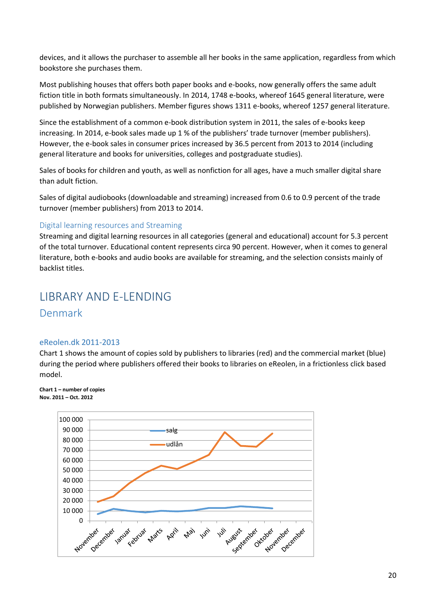devices, and it allows the purchaser to assemble all her books in the same application, regardless from which bookstore she purchases them.

Most publishing houses that offers both paper books and e-books, now generally offers the same adult fiction title in both formats simultaneously. In 2014, 1748 e-books, whereof 1645 general literature, were published by Norwegian publishers. Member figures shows 1311 e-books, whereof 1257 general literature.

Since the establishment of a common e-book distribution system in 2011, the sales of e-books keep increasing. In 2014, e-book sales made up 1 % of the publishers' trade turnover (member publishers). However, the e-book sales in consumer prices increased by 36.5 percent from 2013 to 2014 (including general literature and books for universities, colleges and postgraduate studies).

Sales of books for children and youth, as well as nonfiction for all ages, have a much smaller digital share than adult fiction.

Sales of digital audiobooks (downloadable and streaming) increased from 0.6 to 0.9 percent of the trade turnover (member publishers) from 2013 to 2014.

#### Digital learning resources and Streaming

Streaming and digital learning resources in all categories (general and educational) account for 5.3 percent of the total turnover. Educational content represents circa 90 percent. However, when it comes to general literature, both e-books and audio books are available for streaming, and the selection consists mainly of backlist titles.

### <span id="page-19-1"></span><span id="page-19-0"></span>LIBRARY AND E-LENDING Denmark

#### eReolen.dk 2011-2013

Chart 1 shows the amount of copies sold by publishers to libraries (red) and the commercial market (blue) during the period where publishers offered their books to libraries on eReolen, in a frictionless click based model.

#### **Chart 1 – number of copies Nov. 2011 – Oct. 2012**

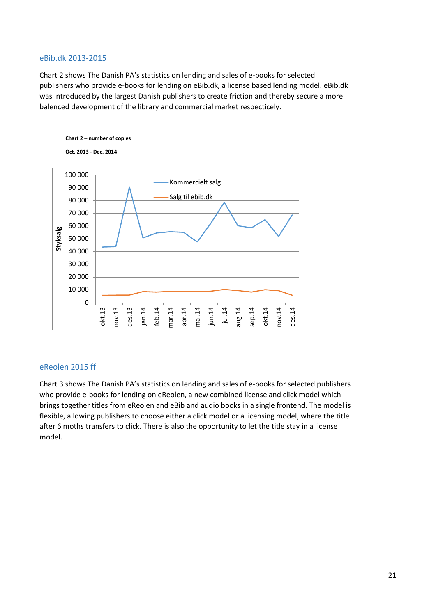#### eBib.dk 2013-2015

Chart 2 shows The Danish PA's statistics on lending and sales of e-books for selected publishers who provide e-books for lending on eBib.dk, a license based lending model. eBib.dk was introduced by the largest Danish publishers to create friction and thereby secure a more balenced development of the library and commercial market respecticely.



#### eReolen 2015 ff

Chart 3 shows The Danish PA's statistics on lending and sales of e-books for selected publishers who provide e-books for lending on eReolen, a new combined license and click model which brings together titles from eReolen and eBib and audio books in a single frontend. The model is flexible, allowing publishers to choose either a click model or a licensing model, where the title after 6 moths transfers to click. There is also the opportunity to let the title stay in a license model.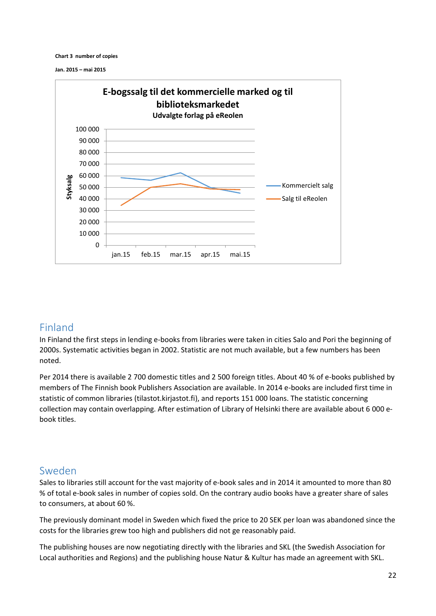**Chart 3 number of copies**

**Jan. 2015 – mai 2015**



### <span id="page-21-0"></span>Finland

In Finland the first steps in lending e-books from libraries were taken in cities Salo and Pori the beginning of 2000s. Systematic activities began in 2002. Statistic are not much available, but a few numbers has been noted.

Per 2014 there is available 2 700 domestic titles and 2 500 foreign titles. About 40 % of e-books published by members of The Finnish book Publishers Association are available. In 2014 e-books are included first time in statistic of common libraries (tilastot.kirjastot.fi), and reports 151 000 loans. The statistic concerning collection may contain overlapping. After estimation of Library of Helsinki there are available about 6 000 ebook titles.

### <span id="page-21-1"></span>Sweden

Sales to libraries still account for the vast majority of e-book sales and in 2014 it amounted to more than 80 % of total e-book sales in number of copies sold. On the contrary audio books have a greater share of sales to consumers, at about 60 %.

The previously dominant model in Sweden which fixed the price to 20 SEK per loan was abandoned since the costs for the libraries grew too high and publishers did not ge reasonably paid.

The publishing houses are now negotiating directly with the libraries and SKL (the Swedish Association for Local authorities and Regions) and the publishing house Natur & Kultur has made an agreement with SKL.